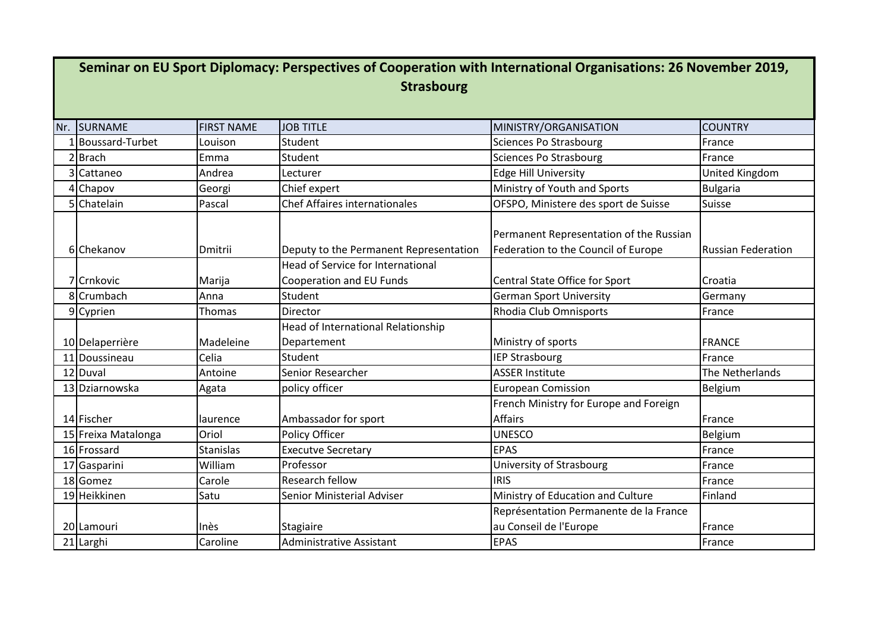| Seminar on EU Sport Diplomacy: Perspectives of Cooperation with International Organisations: 26 November 2019,<br><b>Strasbourg</b> |                     |                   |                                                                      |                                                                                |                           |  |  |  |
|-------------------------------------------------------------------------------------------------------------------------------------|---------------------|-------------------|----------------------------------------------------------------------|--------------------------------------------------------------------------------|---------------------------|--|--|--|
|                                                                                                                                     |                     |                   | <b>JOB TITLE</b>                                                     |                                                                                |                           |  |  |  |
|                                                                                                                                     | Nr. SURNAME         | <b>FIRST NAME</b> |                                                                      | MINISTRY/ORGANISATION                                                          | <b>COUNTRY</b>            |  |  |  |
|                                                                                                                                     | 1 Boussard-Turbet   | Louison           | Student                                                              | <b>Sciences Po Strasbourg</b>                                                  | France                    |  |  |  |
|                                                                                                                                     | 2Brach              | Emma              | Student                                                              | <b>Sciences Po Strasbourg</b>                                                  | France                    |  |  |  |
|                                                                                                                                     | 3 Cattaneo          | Andrea            | Lecturer                                                             | <b>Edge Hill University</b>                                                    | United Kingdom            |  |  |  |
|                                                                                                                                     | 4 Chapov            | Georgi            | Chief expert                                                         | Ministry of Youth and Sports                                                   | <b>Bulgaria</b>           |  |  |  |
|                                                                                                                                     | 5 Chatelain         | Pascal            | <b>Chef Affaires internationales</b>                                 | OFSPO, Ministere des sport de Suisse                                           | Suisse                    |  |  |  |
|                                                                                                                                     | 6 Chekanov          | Dmitrii           | Deputy to the Permanent Representation                               | Permanent Representation of the Russian<br>Federation to the Council of Europe | <b>Russian Federation</b> |  |  |  |
|                                                                                                                                     | 7 Crnkovic          | Marija            | <b>Head of Service for International</b><br>Cooperation and EU Funds | Central State Office for Sport                                                 | Croatia                   |  |  |  |
|                                                                                                                                     | 8 Crumbach          | Anna              | Student                                                              | <b>German Sport University</b>                                                 | Germany                   |  |  |  |
|                                                                                                                                     | 9 Cyprien           | Thomas            | Director                                                             | Rhodia Club Omnisports                                                         | France                    |  |  |  |
|                                                                                                                                     |                     |                   | Head of International Relationship                                   |                                                                                |                           |  |  |  |
|                                                                                                                                     | 10 Delaperrière     | Madeleine         | Departement                                                          | Ministry of sports                                                             | <b>FRANCE</b>             |  |  |  |
|                                                                                                                                     | 11 Doussineau       | Celia             | Student                                                              | <b>IEP Strasbourg</b>                                                          | France                    |  |  |  |
|                                                                                                                                     | 12 Duval            | Antoine           | <b>Senior Researcher</b>                                             | <b>ASSER Institute</b>                                                         | The Netherlands           |  |  |  |
|                                                                                                                                     | 13 Dziarnowska      | Agata             | policy officer                                                       | <b>European Comission</b>                                                      | Belgium                   |  |  |  |
|                                                                                                                                     |                     |                   |                                                                      | French Ministry for Europe and Foreign                                         |                           |  |  |  |
|                                                                                                                                     | 14 Fischer          | laurence          | Ambassador for sport                                                 | <b>Affairs</b>                                                                 | France                    |  |  |  |
|                                                                                                                                     | 15 Freixa Matalonga | Oriol             | Policy Officer                                                       | <b>UNESCO</b>                                                                  | Belgium                   |  |  |  |
|                                                                                                                                     | 16 Frossard         | <b>Stanislas</b>  | <b>Executve Secretary</b>                                            | <b>EPAS</b>                                                                    | France                    |  |  |  |
|                                                                                                                                     | 17 Gasparini        | William           | Professor                                                            | University of Strasbourg                                                       | France                    |  |  |  |
|                                                                                                                                     | 18 Gomez            | Carole            | <b>Research fellow</b>                                               | <b>IRIS</b>                                                                    | France                    |  |  |  |
|                                                                                                                                     | 19 Heikkinen        | Satu              | Senior Ministerial Adviser                                           | Ministry of Education and Culture                                              | Finland                   |  |  |  |
|                                                                                                                                     | 20 Lamouri          | Inès              | <b>Stagiaire</b>                                                     | Représentation Permanente de la France<br>au Conseil de l'Europe               | France                    |  |  |  |
|                                                                                                                                     | 21 Larghi           | Caroline          | <b>Administrative Assistant</b>                                      | <b>EPAS</b>                                                                    | France                    |  |  |  |